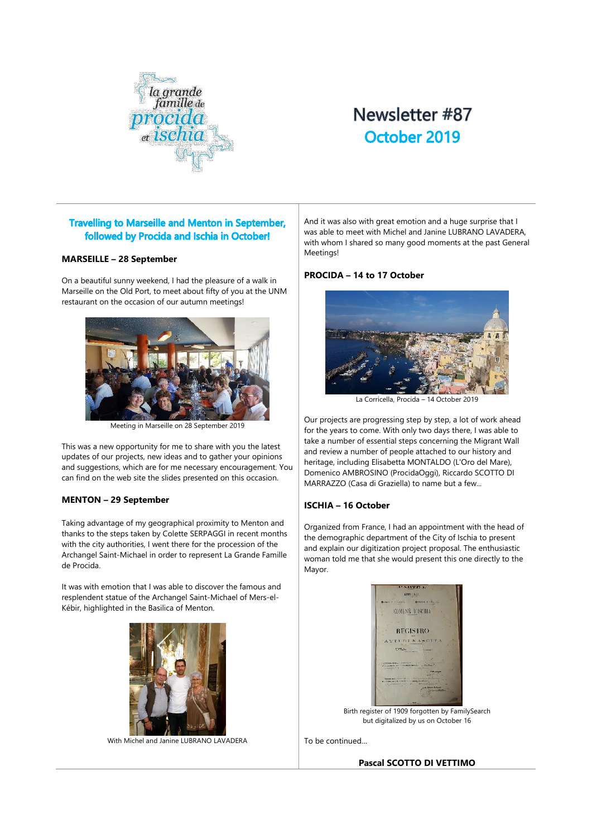

# Newsletter #87 October 2019

## **Travelling to Marseille and Menton in September,** followed by Procida and Ischia in October!

#### **MARSEILLE – 28 September**

On a beautiful sunny weekend, I had the pleasure of a walk in Marseille on the Old Port, to meet about fifty of you at the UNM restaurant on the occasion of our autumn meetings!



Meeting in Marseille on 28 September 2019

This was a new opportunity for me to share with you the latest updates of our projects, new ideas and to gather your opinions and suggestions, which are for me necessary encouragement. You can find on the web site the slides presented on this occasion.

### **MENTON – 29 September**

Taking advantage of my geographical proximity to Menton and thanks to the steps taken by Colette SERPAGGI in recent months with the city authorities, I went there for the procession of the Archangel Saint-Michael in order to represent La Grande Famille de Procida.

It was with emotion that I was able to discover the famous and resplendent statue of the Archangel Saint-Michael of Mers-el-Kébir, highlighted in the Basilica of Menton.



With Michel and Janine LUBRANO LAVADERA

And it was also with great emotion and a huge surprise that I was able to meet with Michel and Janine LUBRANO LAVADERA, with whom I shared so many good moments at the past General Meetings!

#### **PROCIDA – 14 to 17 October**



La Corricella, Procida – 14 October 2019

Our projects are progressing step by step, a lot of work ahead for the years to come. With only two days there, I was able to take a number of essential steps concerning the Migrant Wall and review a number of people attached to our history and heritage, including Elisabetta MONTALDO (L'Oro del Mare), Domenico AMBROSINO (ProcidaOggi), Riccardo SCOTTO DI MARRAZZO (Casa di Graziella) to name but a few...

### **ISCHIA – 16 October**

Organized from France, I had an appointment with the head of the demographic department of the City of Ischia to present and explain our digitization project proposal. The enthusiastic woman told me that she would present this one directly to the Mayor.



Birth register of 1909 forgotten by FamilySearch but digitalized by us on October 16

To be continued…

**Pascal SCOTTO DI VETTIMO**